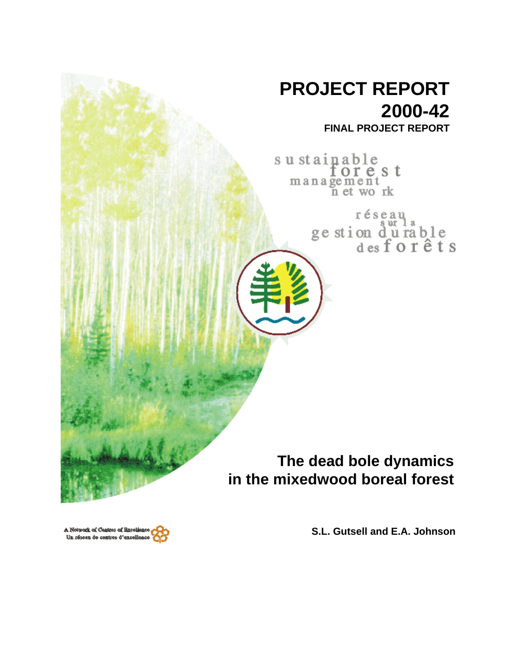

A Network of Centres of Baceliance Un réseau de centres d'excellenc

**S.L. Gutsell and E.A. Johnson**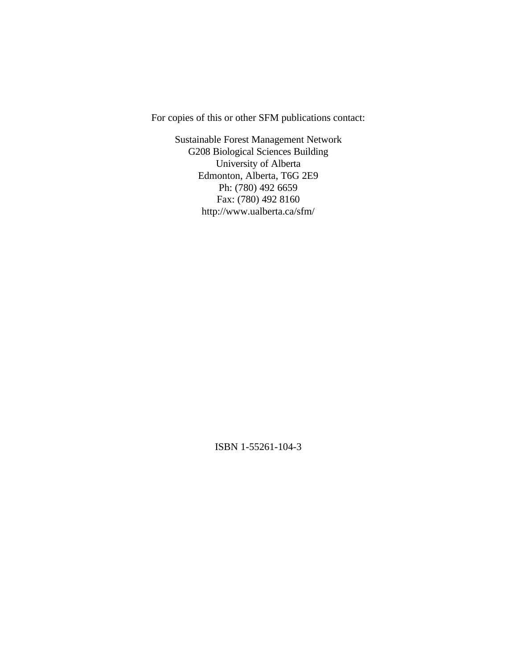For copies of this or other SFM publications contact:

Sustainable Forest Management Network G208 Biological Sciences Building University of Alberta Edmonton, Alberta, T6G 2E9 Ph: (780) 492 6659 Fax: (780) 492 8160 http://www.ualberta.ca/sfm/

ISBN 1-55261-104-3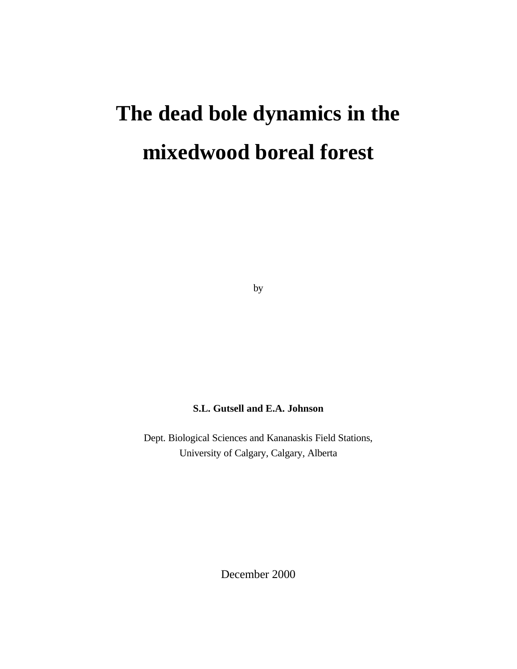# **The dead bole dynamics in the mixedwood boreal forest**

by

# **S.L. Gutsell and E.A. Johnson**

Dept. Biological Sciences and Kananaskis Field Stations, University of Calgary, Calgary, Alberta

December 2000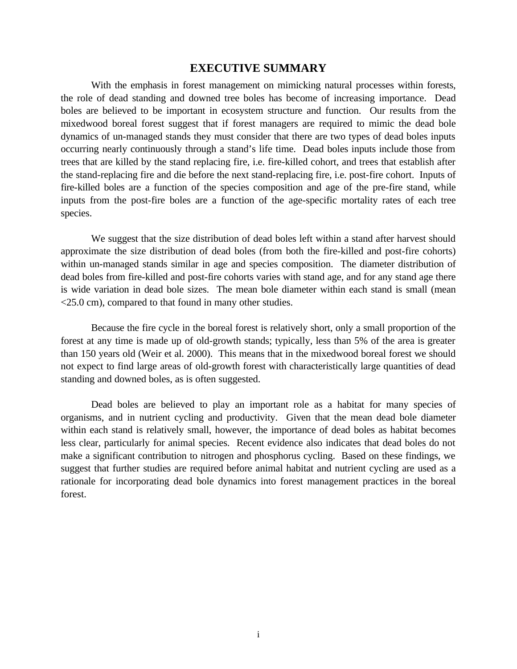### **EXECUTIVE SUMMARY**

With the emphasis in forest management on mimicking natural processes within forests, the role of dead standing and downed tree boles has become of increasing importance. Dead boles are believed to be important in ecosystem structure and function. Our results from the mixedwood boreal forest suggest that if forest managers are required to mimic the dead bole dynamics of un-managed stands they must consider that there are two types of dead boles inputs occurring nearly continuously through a stand's life time. Dead boles inputs include those from trees that are killed by the stand replacing fire, i.e. fire-killed cohort, and trees that establish after the stand-replacing fire and die before the next stand-replacing fire, i.e. post-fire cohort. Inputs of fire-killed boles are a function of the species composition and age of the pre-fire stand, while inputs from the post-fire boles are a function of the age-specific mortality rates of each tree species.

We suggest that the size distribution of dead boles left within a stand after harvest should approximate the size distribution of dead boles (from both the fire-killed and post-fire cohorts) within un-managed stands similar in age and species composition. The diameter distribution of dead boles from fire-killed and post-fire cohorts varies with stand age, and for any stand age there is wide variation in dead bole sizes. The mean bole diameter within each stand is small (mean <25.0 cm), compared to that found in many other studies.

Because the fire cycle in the boreal forest is relatively short, only a small proportion of the forest at any time is made up of old-growth stands; typically, less than 5% of the area is greater than 150 years old (Weir et al. 2000). This means that in the mixedwood boreal forest we should not expect to find large areas of old-growth forest with characteristically large quantities of dead standing and downed boles, as is often suggested.

Dead boles are believed to play an important role as a habitat for many species of organisms, and in nutrient cycling and productivity. Given that the mean dead bole diameter within each stand is relatively small, however, the importance of dead boles as habitat becomes less clear, particularly for animal species. Recent evidence also indicates that dead boles do not make a significant contribution to nitrogen and phosphorus cycling. Based on these findings, we suggest that further studies are required before animal habitat and nutrient cycling are used as a rationale for incorporating dead bole dynamics into forest management practices in the boreal forest.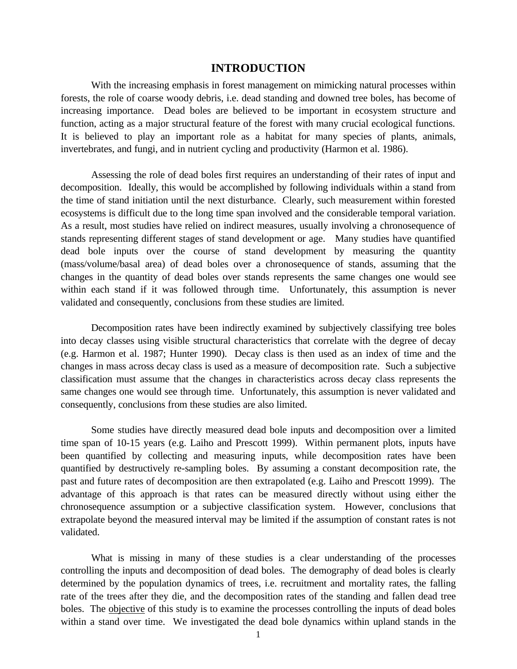#### **INTRODUCTION**

With the increasing emphasis in forest management on mimicking natural processes within forests, the role of coarse woody debris, i.e. dead standing and downed tree boles, has become of increasing importance. Dead boles are believed to be important in ecosystem structure and function, acting as a major structural feature of the forest with many crucial ecological functions. It is believed to play an important role as a habitat for many species of plants, animals, invertebrates, and fungi, and in nutrient cycling and productivity (Harmon et al. 1986).

Assessing the role of dead boles first requires an understanding of their rates of input and decomposition. Ideally, this would be accomplished by following individuals within a stand from the time of stand initiation until the next disturbance. Clearly, such measurement within forested ecosystems is difficult due to the long time span involved and the considerable temporal variation. As a result, most studies have relied on indirect measures, usually involving a chronosequence of stands representing different stages of stand development or age. Many studies have quantified dead bole inputs over the course of stand development by measuring the quantity (mass/volume/basal area) of dead boles over a chronosequence of stands, assuming that the changes in the quantity of dead boles over stands represents the same changes one would see within each stand if it was followed through time. Unfortunately, this assumption is never validated and consequently, conclusions from these studies are limited.

Decomposition rates have been indirectly examined by subjectively classifying tree boles into decay classes using visible structural characteristics that correlate with the degree of decay (e.g. Harmon et al. 1987; Hunter 1990). Decay class is then used as an index of time and the changes in mass across decay class is used as a measure of decomposition rate. Such a subjective classification must assume that the changes in characteristics across decay class represents the same changes one would see through time. Unfortunately, this assumption is never validated and consequently, conclusions from these studies are also limited.

Some studies have directly measured dead bole inputs and decomposition over a limited time span of 10-15 years (e.g. Laiho and Prescott 1999). Within permanent plots, inputs have been quantified by collecting and measuring inputs, while decomposition rates have been quantified by destructively re-sampling boles. By assuming a constant decomposition rate, the past and future rates of decomposition are then extrapolated (e.g. Laiho and Prescott 1999). The advantage of this approach is that rates can be measured directly without using either the chronosequence assumption or a subjective classification system. However, conclusions that extrapolate beyond the measured interval may be limited if the assumption of constant rates is not validated.

What is missing in many of these studies is a clear understanding of the processes controlling the inputs and decomposition of dead boles. The demography of dead boles is clearly determined by the population dynamics of trees, i.e. recruitment and mortality rates, the falling rate of the trees after they die, and the decomposition rates of the standing and fallen dead tree boles. The objective of this study is to examine the processes controlling the inputs of dead boles within a stand over time. We investigated the dead bole dynamics within upland stands in the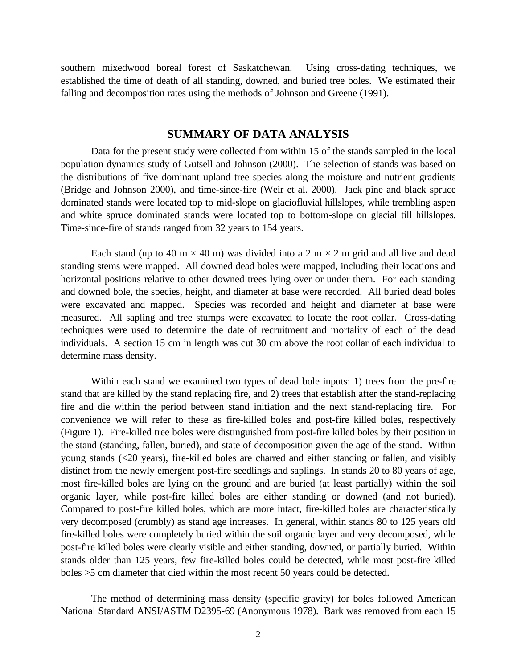southern mixedwood boreal forest of Saskatchewan. Using cross-dating techniques, we established the time of death of all standing, downed, and buried tree boles. We estimated their falling and decomposition rates using the methods of Johnson and Greene (1991).

# **SUMMARY OF DATA ANALYSIS**

Data for the present study were collected from within 15 of the stands sampled in the local population dynamics study of Gutsell and Johnson (2000). The selection of stands was based on the distributions of five dominant upland tree species along the moisture and nutrient gradients (Bridge and Johnson 2000), and time-since-fire (Weir et al. 2000). Jack pine and black spruce dominated stands were located top to mid-slope on glaciofluvial hillslopes, while trembling aspen and white spruce dominated stands were located top to bottom-slope on glacial till hillslopes. Time-since-fire of stands ranged from 32 years to 154 years.

Each stand (up to 40 m  $\times$  40 m) was divided into a 2 m  $\times$  2 m grid and all live and dead standing stems were mapped. All downed dead boles were mapped, including their locations and horizontal positions relative to other downed trees lying over or under them. For each standing and downed bole, the species, height, and diameter at base were recorded. All buried dead boles were excavated and mapped. Species was recorded and height and diameter at base were measured. All sapling and tree stumps were excavated to locate the root collar. Cross-dating techniques were used to determine the date of recruitment and mortality of each of the dead individuals. A section 15 cm in length was cut 30 cm above the root collar of each individual to determine mass density.

Within each stand we examined two types of dead bole inputs: 1) trees from the pre-fire stand that are killed by the stand replacing fire, and 2) trees that establish after the stand-replacing fire and die within the period between stand initiation and the next stand-replacing fire. For convenience we will refer to these as fire-killed boles and post-fire killed boles, respectively (Figure 1). Fire-killed tree boles were distinguished from post-fire killed boles by their position in the stand (standing, fallen, buried), and state of decomposition given the age of the stand. Within young stands (<20 years), fire-killed boles are charred and either standing or fallen, and visibly distinct from the newly emergent post-fire seedlings and saplings. In stands 20 to 80 years of age, most fire-killed boles are lying on the ground and are buried (at least partially) within the soil organic layer, while post-fire killed boles are either standing or downed (and not buried). Compared to post-fire killed boles, which are more intact, fire-killed boles are characteristically very decomposed (crumbly) as stand age increases. In general, within stands 80 to 125 years old fire-killed boles were completely buried within the soil organic layer and very decomposed, while post-fire killed boles were clearly visible and either standing, downed, or partially buried. Within stands older than 125 years, few fire-killed boles could be detected, while most post-fire killed boles >5 cm diameter that died within the most recent 50 years could be detected.

The method of determining mass density (specific gravity) for boles followed American National Standard ANSI/ASTM D2395-69 (Anonymous 1978). Bark was removed from each 15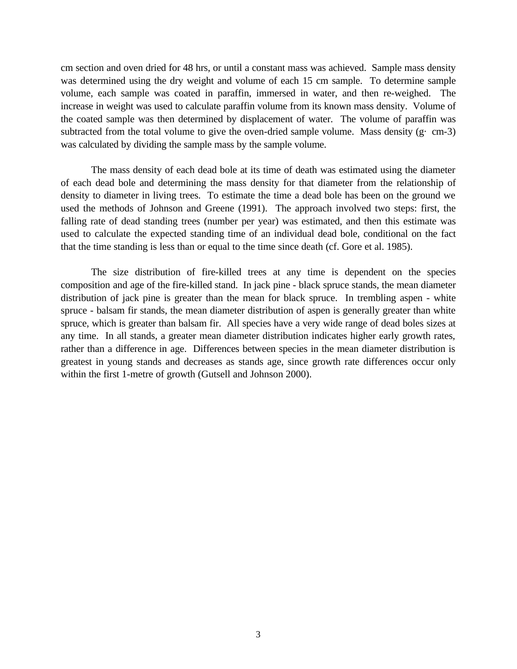cm section and oven dried for 48 hrs, or until a constant mass was achieved. Sample mass density was determined using the dry weight and volume of each 15 cm sample. To determine sample volume, each sample was coated in paraffin, immersed in water, and then re-weighed. The increase in weight was used to calculate paraffin volume from its known mass density. Volume of the coated sample was then determined by displacement of water. The volume of paraffin was subtracted from the total volume to give the oven-dried sample volume. Mass density  $(g \cdot cm - 3)$ was calculated by dividing the sample mass by the sample volume.

The mass density of each dead bole at its time of death was estimated using the diameter of each dead bole and determining the mass density for that diameter from the relationship of density to diameter in living trees. To estimate the time a dead bole has been on the ground we used the methods of Johnson and Greene (1991). The approach involved two steps: first, the falling rate of dead standing trees (number per year) was estimated, and then this estimate was used to calculate the expected standing time of an individual dead bole, conditional on the fact that the time standing is less than or equal to the time since death (cf. Gore et al. 1985).

The size distribution of fire-killed trees at any time is dependent on the species composition and age of the fire-killed stand. In jack pine - black spruce stands, the mean diameter distribution of jack pine is greater than the mean for black spruce. In trembling aspen - white spruce - balsam fir stands, the mean diameter distribution of aspen is generally greater than white spruce, which is greater than balsam fir. All species have a very wide range of dead boles sizes at any time. In all stands, a greater mean diameter distribution indicates higher early growth rates, rather than a difference in age. Differences between species in the mean diameter distribution is greatest in young stands and decreases as stands age, since growth rate differences occur only within the first 1-metre of growth (Gutsell and Johnson 2000).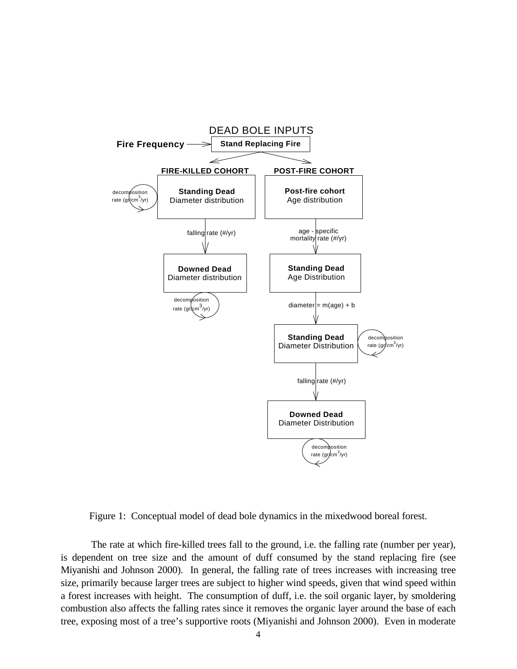

Figure 1: Conceptual model of dead bole dynamics in the mixedwood boreal forest.

The rate at which fire-killed trees fall to the ground, i.e. the falling rate (number per year), is dependent on tree size and the amount of duff consumed by the stand replacing fire (see Miyanishi and Johnson 2000). In general, the falling rate of trees increases with increasing tree size, primarily because larger trees are subject to higher wind speeds, given that wind speed within a forest increases with height. The consumption of duff, i.e. the soil organic layer, by smoldering combustion also affects the falling rates since it removes the organic layer around the base of each tree, exposing most of a tree's supportive roots (Miyanishi and Johnson 2000). Even in moderate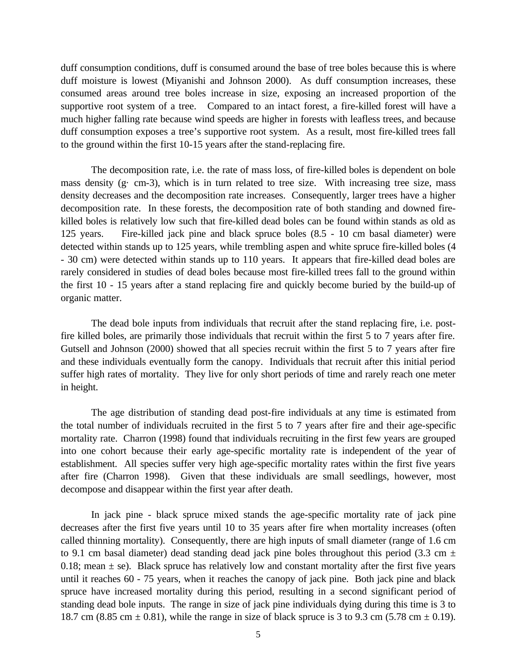duff consumption conditions, duff is consumed around the base of tree boles because this is where duff moisture is lowest (Miyanishi and Johnson 2000). As duff consumption increases, these consumed areas around tree boles increase in size, exposing an increased proportion of the supportive root system of a tree. Compared to an intact forest, a fire-killed forest will have a much higher falling rate because wind speeds are higher in forests with leafless trees, and because duff consumption exposes a tree's supportive root system. As a result, most fire-killed trees fall to the ground within the first 10-15 years after the stand-replacing fire.

The decomposition rate, i.e. the rate of mass loss, of fire-killed boles is dependent on bole mass density (g· cm-3), which is in turn related to tree size. With increasing tree size, mass density decreases and the decomposition rate increases. Consequently, larger trees have a higher decomposition rate. In these forests, the decomposition rate of both standing and downed firekilled boles is relatively low such that fire-killed dead boles can be found within stands as old as 125 years. Fire-killed jack pine and black spruce boles (8.5 - 10 cm basal diameter) were detected within stands up to 125 years, while trembling aspen and white spruce fire-killed boles (4 - 30 cm) were detected within stands up to 110 years. It appears that fire-killed dead boles are rarely considered in studies of dead boles because most fire-killed trees fall to the ground within the first 10 - 15 years after a stand replacing fire and quickly become buried by the build-up of organic matter.

The dead bole inputs from individuals that recruit after the stand replacing fire, i.e. postfire killed boles, are primarily those individuals that recruit within the first 5 to 7 years after fire. Gutsell and Johnson (2000) showed that all species recruit within the first 5 to 7 years after fire and these individuals eventually form the canopy. Individuals that recruit after this initial period suffer high rates of mortality. They live for only short periods of time and rarely reach one meter in height.

The age distribution of standing dead post-fire individuals at any time is estimated from the total number of individuals recruited in the first 5 to 7 years after fire and their age-specific mortality rate. Charron (1998) found that individuals recruiting in the first few years are grouped into one cohort because their early age-specific mortality rate is independent of the year of establishment. All species suffer very high age-specific mortality rates within the first five years after fire (Charron 1998). Given that these individuals are small seedlings, however, most decompose and disappear within the first year after death.

In jack pine - black spruce mixed stands the age-specific mortality rate of jack pine decreases after the first five years until 10 to 35 years after fire when mortality increases (often called thinning mortality). Consequently, there are high inputs of small diameter (range of 1.6 cm to 9.1 cm basal diameter) dead standing dead jack pine boles throughout this period (3.3 cm  $\pm$ 0.18; mean  $\pm$  se). Black spruce has relatively low and constant mortality after the first five years until it reaches 60 - 75 years, when it reaches the canopy of jack pine. Both jack pine and black spruce have increased mortality during this period, resulting in a second significant period of standing dead bole inputs. The range in size of jack pine individuals dying during this time is 3 to 18.7 cm (8.85 cm  $\pm$  0.81), while the range in size of black spruce is 3 to 9.3 cm (5.78 cm  $\pm$  0.19).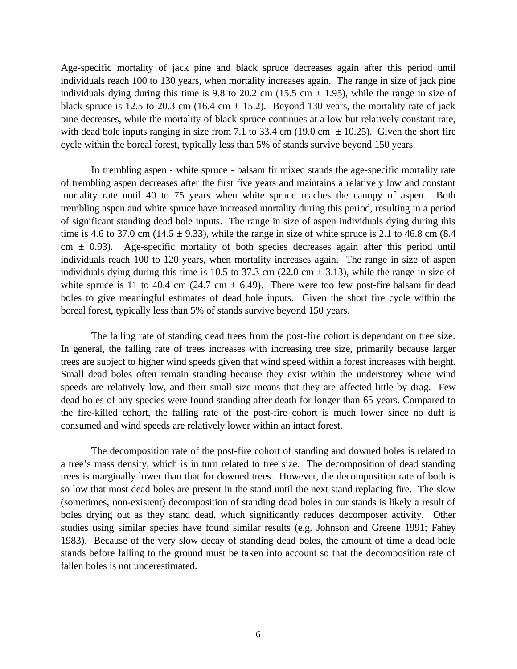Age-specific mortality of jack pine and black spruce decreases again after this period until individuals reach 100 to 130 years, when mortality increases again. The range in size of jack pine individuals dying during this time is 9.8 to 20.2 cm (15.5 cm  $\pm$  1.95), while the range in size of black spruce is 12.5 to 20.3 cm (16.4 cm  $\pm$  15.2). Beyond 130 years, the mortality rate of jack pine decreases, while the mortality of black spruce continues at a low but relatively constant rate, with dead bole inputs ranging in size from 7.1 to 33.4 cm (19.0 cm  $\pm$  10.25). Given the short fire cycle within the boreal forest, typically less than 5% of stands survive beyond 150 years.

In trembling aspen - white spruce - balsam fir mixed stands the age-specific mortality rate of trembling aspen decreases after the first five years and maintains a relatively low and constant mortality rate until 40 to 75 years when white spruce reaches the canopy of aspen. Both trembling aspen and white spruce have increased mortality during this period, resulting in a period of significant standing dead bole inputs. The range in size of aspen individuals dying during this time is 4.6 to 37.0 cm (14.5  $\pm$  9.33), while the range in size of white spruce is 2.1 to 46.8 cm (8.4) cm  $\pm$  0.93). Age-specific mortality of both species decreases again after this period until individuals reach 100 to 120 years, when mortality increases again. The range in size of aspen individuals dying during this time is 10.5 to 37.3 cm (22.0 cm  $\pm$  3.13), while the range in size of white spruce is 11 to 40.4 cm (24.7 cm  $\pm$  6.49). There were too few post-fire balsam fir dead boles to give meaningful estimates of dead bole inputs. Given the short fire cycle within the boreal forest, typically less than 5% of stands survive beyond 150 years.

The falling rate of standing dead trees from the post-fire cohort is dependant on tree size. In general, the falling rate of trees increases with increasing tree size, primarily because larger trees are subject to higher wind speeds given that wind speed within a forest increases with height. Small dead boles often remain standing because they exist within the understorey where wind speeds are relatively low, and their small size means that they are affected little by drag. Few dead boles of any species were found standing after death for longer than 65 years. Compared to the fire-killed cohort, the falling rate of the post-fire cohort is much lower since no duff is consumed and wind speeds are relatively lower within an intact forest.

The decomposition rate of the post-fire cohort of standing and downed boles is related to a tree's mass density, which is in turn related to tree size. The decomposition of dead standing trees is marginally lower than that for downed trees. However, the decomposition rate of both is so low that most dead boles are present in the stand until the next stand replacing fire. The slow (sometimes, non-existent) decomposition of standing dead boles in our stands is likely a result of boles drying out as they stand dead, which significantly reduces decomposer activity. Other studies using similar species have found similar results (e.g. Johnson and Greene 1991; Fahey 1983). Because of the very slow decay of standing dead boles, the amount of time a dead bole stands before falling to the ground must be taken into account so that the decomposition rate of fallen boles is not underestimated.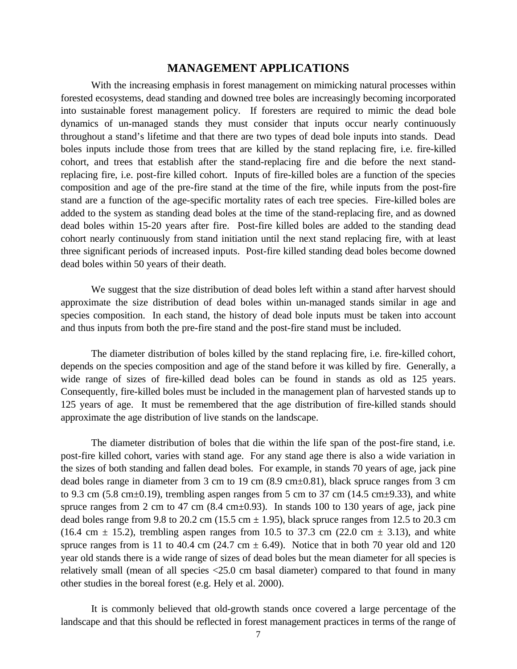# **MANAGEMENT APPLICATIONS**

With the increasing emphasis in forest management on mimicking natural processes within forested ecosystems, dead standing and downed tree boles are increasingly becoming incorporated into sustainable forest management policy. If foresters are required to mimic the dead bole dynamics of un-managed stands they must consider that inputs occur nearly continuously throughout a stand's lifetime and that there are two types of dead bole inputs into stands. Dead boles inputs include those from trees that are killed by the stand replacing fire, i.e. fire-killed cohort, and trees that establish after the stand-replacing fire and die before the next standreplacing fire, i.e. post-fire killed cohort. Inputs of fire-killed boles are a function of the species composition and age of the pre-fire stand at the time of the fire, while inputs from the post-fire stand are a function of the age-specific mortality rates of each tree species. Fire-killed boles are added to the system as standing dead boles at the time of the stand-replacing fire, and as downed dead boles within 15-20 years after fire. Post-fire killed boles are added to the standing dead cohort nearly continuously from stand initiation until the next stand replacing fire, with at least three significant periods of increased inputs. Post-fire killed standing dead boles become downed dead boles within 50 years of their death.

We suggest that the size distribution of dead boles left within a stand after harvest should approximate the size distribution of dead boles within un-managed stands similar in age and species composition. In each stand, the history of dead bole inputs must be taken into account and thus inputs from both the pre-fire stand and the post-fire stand must be included.

The diameter distribution of boles killed by the stand replacing fire, i.e. fire-killed cohort, depends on the species composition and age of the stand before it was killed by fire. Generally, a wide range of sizes of fire-killed dead boles can be found in stands as old as 125 years. Consequently, fire-killed boles must be included in the management plan of harvested stands up to 125 years of age. It must be remembered that the age distribution of fire-killed stands should approximate the age distribution of live stands on the landscape.

The diameter distribution of boles that die within the life span of the post-fire stand, i.e. post-fire killed cohort, varies with stand age. For any stand age there is also a wide variation in the sizes of both standing and fallen dead boles. For example, in stands 70 years of age, jack pine dead boles range in diameter from 3 cm to 19 cm (8.9 cm±0.81), black spruce ranges from 3 cm to 9.3 cm (5.8 cm $\pm$ 0.19), trembling aspen ranges from 5 cm to 37 cm (14.5 cm $\pm$ 9.33), and white spruce ranges from 2 cm to 47 cm  $(8.4 \text{ cm} \pm 0.93)$ . In stands 100 to 130 years of age, jack pine dead boles range from 9.8 to 20.2 cm (15.5 cm  $\pm$  1.95), black spruce ranges from 12.5 to 20.3 cm (16.4 cm  $\pm$  15.2), trembling aspen ranges from 10.5 to 37.3 cm (22.0 cm  $\pm$  3.13), and white spruce ranges from is 11 to 40.4 cm (24.7 cm  $\pm$  6.49). Notice that in both 70 year old and 120 year old stands there is a wide range of sizes of dead boles but the mean diameter for all species is relatively small (mean of all species <25.0 cm basal diameter) compared to that found in many other studies in the boreal forest (e.g. Hely et al. 2000).

It is commonly believed that old-growth stands once covered a large percentage of the landscape and that this should be reflected in forest management practices in terms of the range of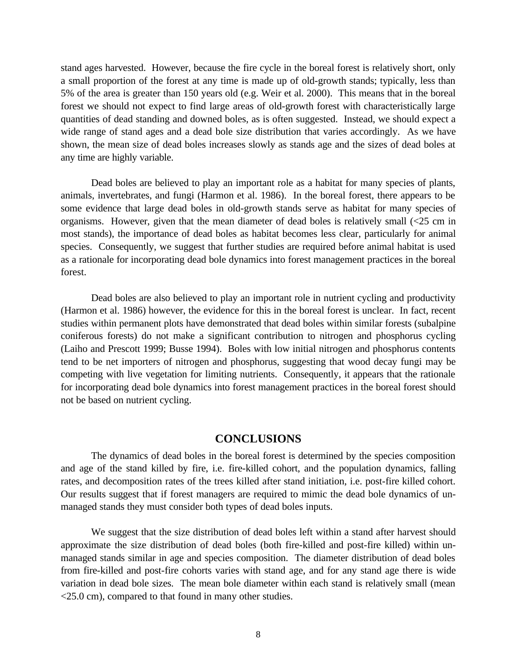stand ages harvested. However, because the fire cycle in the boreal forest is relatively short, only a small proportion of the forest at any time is made up of old-growth stands; typically, less than 5% of the area is greater than 150 years old (e.g. Weir et al. 2000). This means that in the boreal forest we should not expect to find large areas of old-growth forest with characteristically large quantities of dead standing and downed boles, as is often suggested. Instead, we should expect a wide range of stand ages and a dead bole size distribution that varies accordingly. As we have shown, the mean size of dead boles increases slowly as stands age and the sizes of dead boles at any time are highly variable.

Dead boles are believed to play an important role as a habitat for many species of plants, animals, invertebrates, and fungi (Harmon et al. 1986). In the boreal forest, there appears to be some evidence that large dead boles in old-growth stands serve as habitat for many species of organisms. However, given that the mean diameter of dead boles is relatively small (<25 cm in most stands), the importance of dead boles as habitat becomes less clear, particularly for animal species. Consequently, we suggest that further studies are required before animal habitat is used as a rationale for incorporating dead bole dynamics into forest management practices in the boreal forest.

Dead boles are also believed to play an important role in nutrient cycling and productivity (Harmon et al. 1986) however, the evidence for this in the boreal forest is unclear. In fact, recent studies within permanent plots have demonstrated that dead boles within similar forests (subalpine coniferous forests) do not make a significant contribution to nitrogen and phosphorus cycling (Laiho and Prescott 1999; Busse 1994). Boles with low initial nitrogen and phosphorus contents tend to be net importers of nitrogen and phosphorus, suggesting that wood decay fungi may be competing with live vegetation for limiting nutrients. Consequently, it appears that the rationale for incorporating dead bole dynamics into forest management practices in the boreal forest should not be based on nutrient cycling.

#### **CONCLUSIONS**

The dynamics of dead boles in the boreal forest is determined by the species composition and age of the stand killed by fire, i.e. fire-killed cohort, and the population dynamics, falling rates, and decomposition rates of the trees killed after stand initiation, i.e. post-fire killed cohort. Our results suggest that if forest managers are required to mimic the dead bole dynamics of unmanaged stands they must consider both types of dead boles inputs.

We suggest that the size distribution of dead boles left within a stand after harvest should approximate the size distribution of dead boles (both fire-killed and post-fire killed) within unmanaged stands similar in age and species composition. The diameter distribution of dead boles from fire-killed and post-fire cohorts varies with stand age, and for any stand age there is wide variation in dead bole sizes. The mean bole diameter within each stand is relatively small (mean <25.0 cm), compared to that found in many other studies.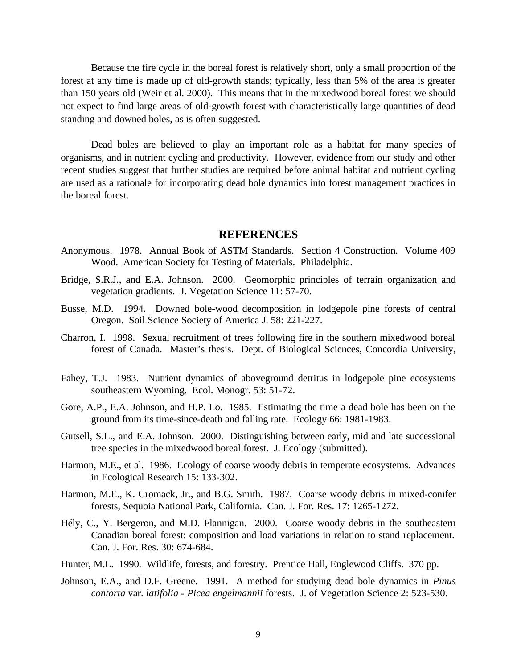Because the fire cycle in the boreal forest is relatively short, only a small proportion of the forest at any time is made up of old-growth stands; typically, less than 5% of the area is greater than 150 years old (Weir et al. 2000). This means that in the mixedwood boreal forest we should not expect to find large areas of old-growth forest with characteristically large quantities of dead standing and downed boles, as is often suggested.

Dead boles are believed to play an important role as a habitat for many species of organisms, and in nutrient cycling and productivity. However, evidence from our study and other recent studies suggest that further studies are required before animal habitat and nutrient cycling are used as a rationale for incorporating dead bole dynamics into forest management practices in the boreal forest.

#### **REFERENCES**

- Anonymous. 1978. Annual Book of ASTM Standards. Section 4 Construction*.* Volume 409 Wood. American Society for Testing of Materials. Philadelphia.
- Bridge, S.R.J., and E.A. Johnson. 2000. Geomorphic principles of terrain organization and vegetation gradients. J. Vegetation Science 11: 57-70.
- Busse, M.D. 1994. Downed bole-wood decomposition in lodgepole pine forests of central Oregon. Soil Science Society of America J. 58: 221-227.
- Charron, I. 1998. Sexual recruitment of trees following fire in the southern mixedwood boreal forest of Canada. Master's thesis. Dept. of Biological Sciences, Concordia University,
- Fahey, T.J. 1983. Nutrient dynamics of aboveground detritus in lodgepole pine ecosystems southeastern Wyoming. Ecol. Monogr. 53: 51-72.
- Gore, A.P., E.A. Johnson, and H.P. Lo. 1985. Estimating the time a dead bole has been on the ground from its time-since-death and falling rate. Ecology 66: 1981-1983.
- Gutsell, S.L., and E.A. Johnson. 2000. Distinguishing between early, mid and late successional tree species in the mixedwood boreal forest. J. Ecology (submitted).
- Harmon, M.E., et al. 1986. Ecology of coarse woody debris in temperate ecosystems. Advances in Ecological Research 15: 133-302.
- Harmon, M.E., K. Cromack, Jr., and B.G. Smith. 1987. Coarse woody debris in mixed-conifer forests, Sequoia National Park, California. Can. J. For. Res. 17: 1265-1272.
- Hély, C., Y. Bergeron, and M.D. Flannigan. 2000. Coarse woody debris in the southeastern Canadian boreal forest: composition and load variations in relation to stand replacement. Can. J. For. Res. 30: 674-684.
- Hunter, M.L. 1990. Wildlife, forests, and forestry. Prentice Hall, Englewood Cliffs. 370 pp.
- Johnson, E.A., and D.F. Greene. 1991. A method for studying dead bole dynamics in *Pinus contorta* var. *latifolia* - *Picea engelmannii* forests. J. of Vegetation Science 2: 523-530.